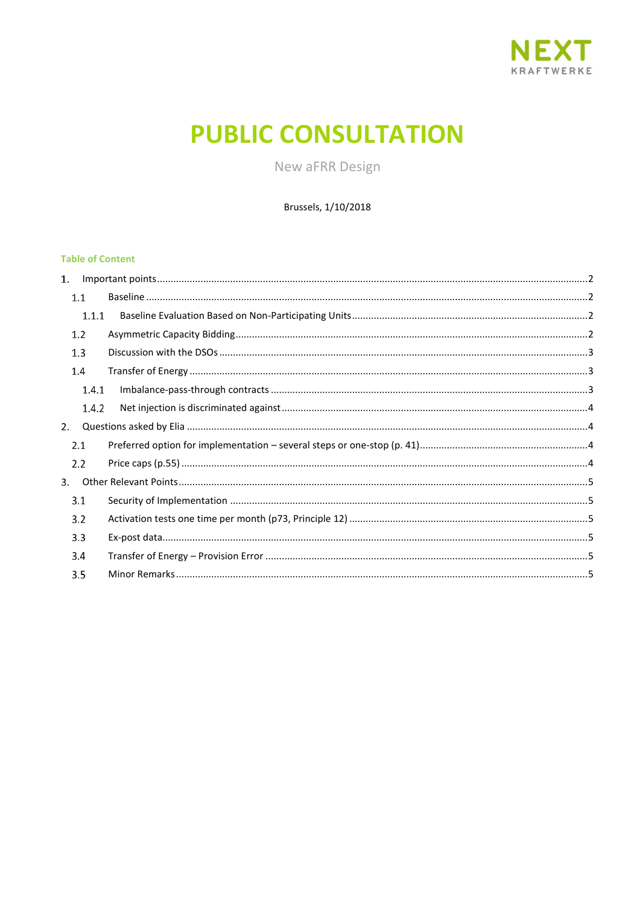

# **PUBLIC CONSULTATION**

New aFRR Design

Brussels, 1/10/2018

# **Table of Content**

|    | 1.1     |  |
|----|---------|--|
|    | 1.1.1   |  |
|    | 1.2     |  |
|    | 1.3     |  |
|    | $1.4\,$ |  |
|    | 1.4.1   |  |
|    | 1.4.2   |  |
| 2. |         |  |
|    | 2.1     |  |
|    | 2.2     |  |
| 3. |         |  |
|    | 3.1     |  |
|    | 3.2     |  |
|    | 3.3     |  |
|    | 3.4     |  |
|    | 3.5     |  |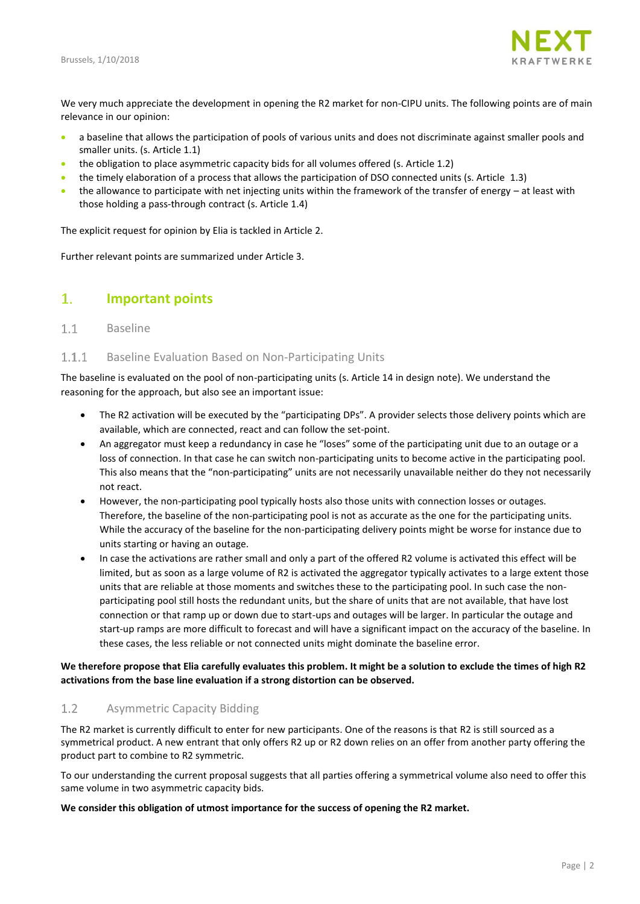

We very much appreciate the development in opening the R2 market for non-CIPU units. The following points are of main relevance in our opinion:

- a baseline that allows the participation of pools of various units and does not discriminate against smaller pools and smaller units. (s. Article [1.1\)](#page-1-1)
- the obligation to place asymmetric capacity bids for all volumes offered (s. Article [1.2\)](#page-1-3)
- the timely elaboration of a process that allows the participation of DSO connected units (s. Article [1.3\)](#page-2-0)
- the allowance to participate with net injecting units within the framework of the transfer of energy at least with those holding a pass-through contract (s. Article [1.4\)](#page-2-1)

The explicit request for opinion by Elia is tackled in Article [2.](#page-3-1)

Further relevant points are summarized under Articl[e 3.](#page-4-0)

#### <span id="page-1-0"></span>1. **Important points**

#### <span id="page-1-1"></span> $1.1$ Baseline

#### <span id="page-1-2"></span> $1.1.1$ Baseline Evaluation Based on Non-Participating Units

The baseline is evaluated on the pool of non-participating units (s. Article 14 in design note). We understand the reasoning for the approach, but also see an important issue:

- The R2 activation will be executed by the "participating DPs". A provider selects those delivery points which are available, which are connected, react and can follow the set-point.
- An aggregator must keep a redundancy in case he "loses" some of the participating unit due to an outage or a loss of connection. In that case he can switch non-participating units to become active in the participating pool. This also means that the "non-participating" units are not necessarily unavailable neither do they not necessarily not react.
- However, the non-participating pool typically hosts also those units with connection losses or outages. Therefore, the baseline of the non-participating pool is not as accurate as the one for the participating units. While the accuracy of the baseline for the non-participating delivery points might be worse for instance due to units starting or having an outage.
- In case the activations are rather small and only a part of the offered R2 volume is activated this effect will be limited, but as soon as a large volume of R2 is activated the aggregator typically activates to a large extent those units that are reliable at those moments and switches these to the participating pool. In such case the nonparticipating pool still hosts the redundant units, but the share of units that are not available, that have lost connection or that ramp up or down due to start-ups and outages will be larger. In particular the outage and start-up ramps are more difficult to forecast and will have a significant impact on the accuracy of the baseline. In these cases, the less reliable or not connected units might dominate the baseline error.

## **We therefore propose that Elia carefully evaluates this problem. It might be a solution to exclude the times of high R2 activations from the base line evaluation if a strong distortion can be observed.**

#### <span id="page-1-3"></span> $1.2$ Asymmetric Capacity Bidding

The R2 market is currently difficult to enter for new participants. One of the reasons is that R2 is still sourced as a symmetrical product. A new entrant that only offers R2 up or R2 down relies on an offer from another party offering the product part to combine to R2 symmetric.

To our understanding the current proposal suggests that all parties offering a symmetrical volume also need to offer this same volume in two asymmetric capacity bids.

## **We consider this obligation of utmost importance for the success of opening the R2 market.**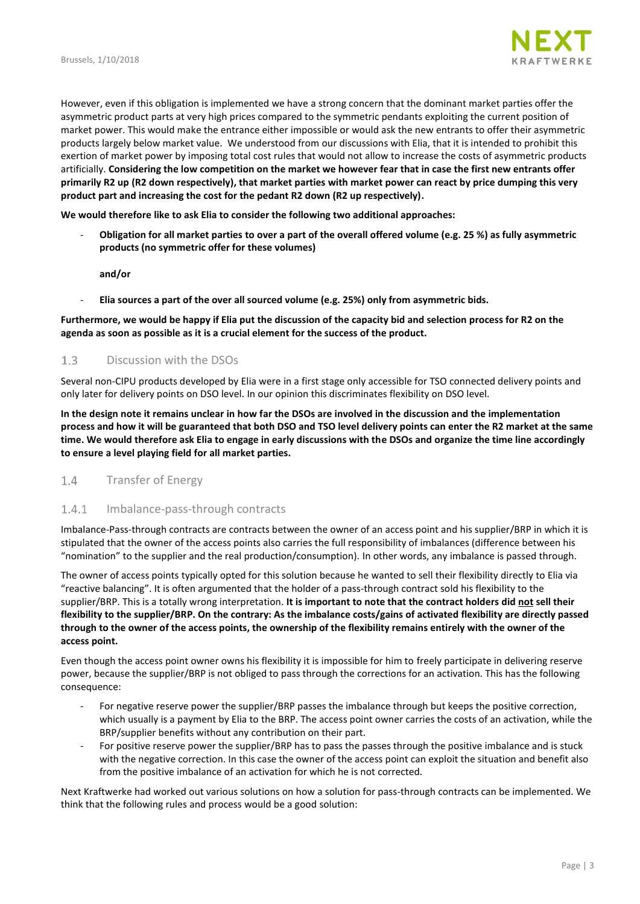

However, even if this obligation is implemented we have a strong concern that the dominant market parties offer the asymmetric product parts at very high prices compared to the symmetric pendants exploiting the current position of market power. This would make the entrance either impossible or would ask the new entrants to offer their asymmetric products largely below market value. We understood from our discussions with Elia, that it is intended to prohibit this exertion of market power by imposing total cost rules that would not allow to increase the costs of asymmetric products artificially. **Considering the low competition on the market we however fear that in case the first new entrants offer primarily R2 up (R2 down respectively), that market parties with market power can react by price dumping this very product part and increasing the cost for the pedant R2 down (R2 up respectively).** 

**We would therefore like to ask Elia to consider the following two additional approaches:**

- **Obligation for all market parties to over a part of the overall offered volume (e.g. 25 %) as fully asymmetric products (no symmetric offer for these volumes)**

**and/or**

- **Elia sources a part of the over all sourced volume (e.g. 25%) only from asymmetric bids.** 

## **Furthermore, we would be happy if Elia put the discussion of the capacity bid and selection process for R2 on the agenda as soon as possible as it is a crucial element for the success of the product.**

#### <span id="page-2-0"></span> $1.3$ Discussion with the DSOs

Several non-CIPU products developed by Elia were in a first stage only accessible for TSO connected delivery points and only later for delivery points on DSO level. In our opinion this discriminates flexibility on DSO level.

**In the design note it remains unclear in how far the DSOs are involved in the discussion and the implementation process and how it will be guaranteed that both DSO and TSO level delivery points can enter the R2 market at the same time. We would therefore ask Elia to engage in early discussions with the DSOs and organize the time line accordingly to ensure a level playing field for all market parties.** 

#### <span id="page-2-1"></span> $1.4$ Transfer of Energy

#### <span id="page-2-2"></span> $1.4.1$ Imbalance-pass-through contracts

Imbalance-Pass-through contracts are contracts between the owner of an access point and his supplier/BRP in which it is stipulated that the owner of the access points also carries the full responsibility of imbalances (difference between his "nomination" to the supplier and the real production/consumption). In other words, any imbalance is passed through.

The owner of access points typically opted for this solution because he wanted to sell their flexibility directly to Elia via "reactive balancing". It is often argumented that the holder of a pass-through contract sold his flexibility to the supplier/BRP. This is a totally wrong interpretation. **It is important to note that the contract holders did not sell their flexibility to the supplier/BRP. On the contrary: As the imbalance costs/gains of activated flexibility are directly passed through to the owner of the access points, the ownership of the flexibility remains entirely with the owner of the access point.**

Even though the access point owner owns his flexibility it is impossible for him to freely participate in delivering reserve power, because the supplier/BRP is not obliged to pass through the corrections for an activation. This has the following consequence:

- For negative reserve power the supplier/BRP passes the imbalance through but keeps the positive correction, which usually is a payment by Elia to the BRP. The access point owner carries the costs of an activation, while the BRP/supplier benefits without any contribution on their part.
- For positive reserve power the supplier/BRP has to pass the passes through the positive imbalance and is stuck with the negative correction. In this case the owner of the access point can exploit the situation and benefit also from the positive imbalance of an activation for which he is not corrected.

Next Kraftwerke had worked out various solutions on how a solution for pass-through contracts can be implemented. We think that the following rules and process would be a good solution: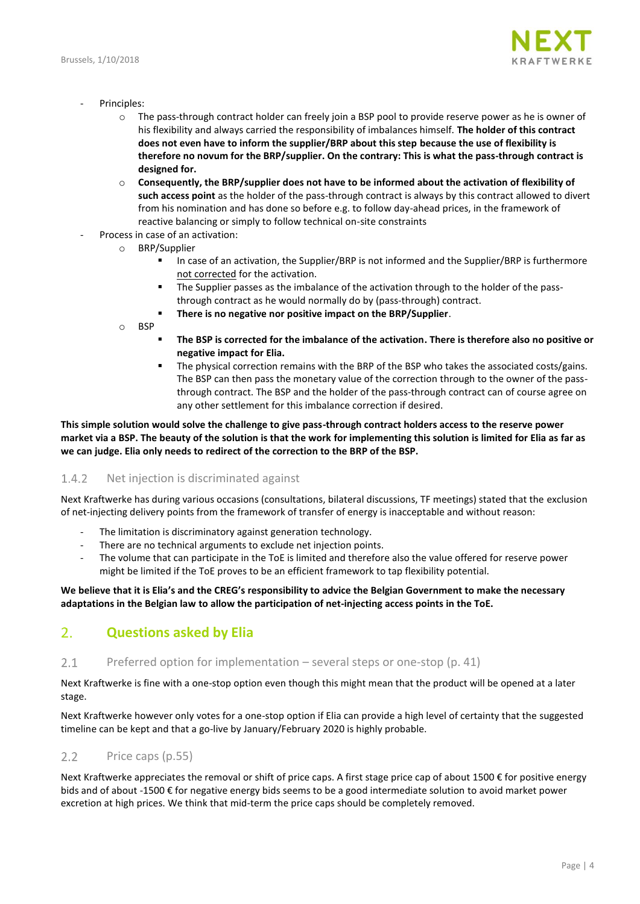

- Principles:
	- o The pass-through contract holder can freely join a BSP pool to provide reserve power as he is owner of his flexibility and always carried the responsibility of imbalances himself. **The holder of this contract does not even have to inform the supplier/BRP about this step because the use of flexibility is therefore no novum for the BRP/supplier. On the contrary: This is what the pass-through contract is designed for.**
	- o **Consequently, the BRP/supplier does not have to be informed about the activation of flexibility of such access point** as the holder of the pass-through contract is always by this contract allowed to divert from his nomination and has done so before e.g. to follow day-ahead prices, in the framework of reactive balancing or simply to follow technical on-site constraints
- Process in case of an activation:
	- o BRP/Supplier
		- In case of an activation, the Supplier/BRP is not informed and the Supplier/BRP is furthermore not corrected for the activation.
		- **The Supplier passes as the imbalance of the activation through to the holder of the pass**through contract as he would normally do by (pass-through) contract.
		- **There is no negative nor positive impact on the BRP/Supplier**.
	- o BSP
		- **The BSP is corrected for the imbalance of the activation. There is therefore also no positive or negative impact for Elia.**
		- The physical correction remains with the BRP of the BSP who takes the associated costs/gains. The BSP can then pass the monetary value of the correction through to the owner of the passthrough contract. The BSP and the holder of the pass-through contract can of course agree on any other settlement for this imbalance correction if desired.

**This simple solution would solve the challenge to give pass-through contract holders access to the reserve power market via a BSP. The beauty of the solution is that the work for implementing this solution is limited for Elia as far as we can judge. Elia only needs to redirect of the correction to the BRP of the BSP.**

#### <span id="page-3-0"></span> $1.4.2$ Net injection is discriminated against

Next Kraftwerke has during various occasions (consultations, bilateral discussions, TF meetings) stated that the exclusion of net-injecting delivery points from the framework of transfer of energy is inacceptable and without reason:

- The limitation is discriminatory against generation technology.
- There are no technical arguments to exclude net injection points.
- The volume that can participate in the ToE is limited and therefore also the value offered for reserve power might be limited if the ToE proves to be an efficient framework to tap flexibility potential.

## **We believe that it is Elia's and the CREG's responsibility to advice the Belgian Government to make the necessary adaptations in the Belgian law to allow the participation of net-injecting access points in the ToE.**

### <span id="page-3-1"></span> $2.$ **Questions asked by Elia**

#### <span id="page-3-2"></span> $2.1$ Preferred option for implementation – several steps or one-stop (p. 41)

Next Kraftwerke is fine with a one-stop option even though this might mean that the product will be opened at a later stage.

Next Kraftwerke however only votes for a one-stop option if Elia can provide a high level of certainty that the suggested timeline can be kept and that a go-live by January/February 2020 is highly probable.

#### <span id="page-3-3"></span> $2.2$ Price caps (p.55)

Next Kraftwerke appreciates the removal or shift of price caps. A first stage price cap of about 1500 € for positive energy bids and of about -1500 € for negative energy bids seems to be a good intermediate solution to avoid market power excretion at high prices. We think that mid-term the price caps should be completely removed.